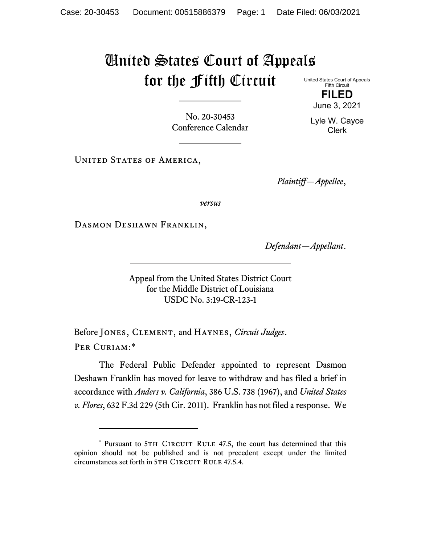## United States Court of Appeals for the Fifth Circuit

United States Court of Appeals Fifth Circuit **FILED**

June 3, 2021

Lyle W. Cayce Clerk

No. 20-30453 Conference Calendar

UNITED STATES OF AMERICA,

*Plaintiff—Appellee*,

*versus*

DASMON DESHAWN FRANKLIN,

*Defendant—Appellant*.

Appeal from the United States District Court for the Middle District of Louisiana USDC No. 3:19-CR-123-1

Before Jones, Clement, and Haynes, *Circuit Judges*. Per Curiam:[\\*](#page-0-0)

The Federal Public Defender appointed to represent Dasmon Deshawn Franklin has moved for leave to withdraw and has filed a brief in accordance with *Anders v. California*, 386 U.S. 738 (1967), and *United States v. Flores*, 632 F.3d 229 (5th Cir. 2011). Franklin has not filed a response. We

<span id="page-0-0"></span><sup>\*</sup> Pursuant to 5TH CIRCUIT RULE 47.5, the court has determined that this opinion should not be published and is not precedent except under the limited circumstances set forth in 5TH CIRCUIT RULE 47.5.4.